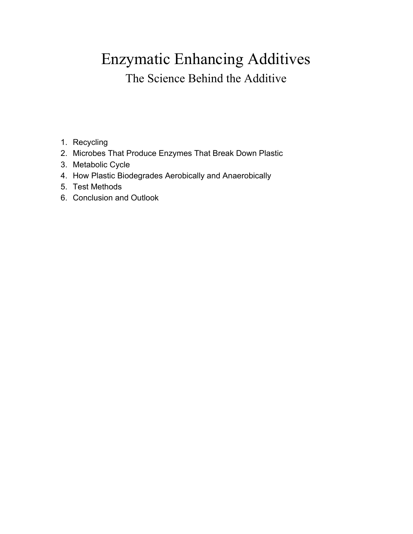# Enzymatic Enhancing Additives The Science Behind the Additive

- 1. Recycling
- 2. Microbes That Produce Enzymes That Break Down Plastic
- 3. Metabolic Cycle
- 4. How Plastic Biodegrades Aerobically and Anaerobically
- 5. Test Methods
- 6. Conclusion and Outlook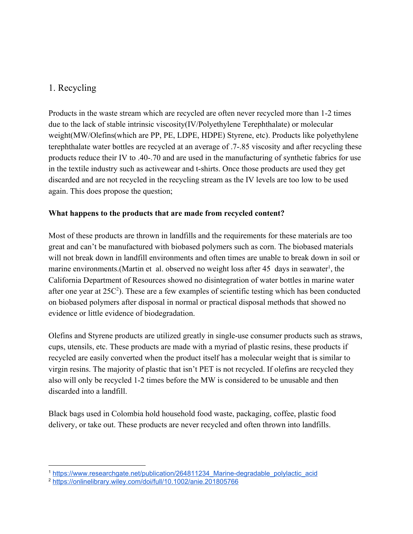## 1. Recycling

Products in the waste stream which are recycled are often never recycled more than 1-2 times due to the lack of stable intrinsic viscosity(IV/Polyethylene Terephthalate) or molecular weight(MW/Olefins(which are PP, PE, LDPE, HDPE) Styrene, etc). Products like polyethylene terephthalate water bottles are recycled at an average of .7-.85 viscosity and after recycling these products reduce their IV to .40-.70 and are used in the manufacturing of synthetic fabrics for use in the textile industry such as activewear and t-shirts. Once those products are used they get discarded and are not recycled in the recycling stream as the IV levels are too low to be used again. This does propose the question;

#### **What happens to the products that are made from recycled content?**

Most of these products are thrown in landfills and the requirements for these materials are too great and can't be manufactured with biobased polymers such as corn. The biobased materials will not break down in landfill environments and often times are unable to break down in soil or marine environments. (Martin et al. observed no weight loss after 45 days in seawater<sup>1</sup>, the California Department of Resources showed no disintegration of water bottles in marine water after one year at  $25C<sup>2</sup>$ . These are a few examples of scientific testing which has been conducted on biobased polymers after disposal in normal or practical disposal methods that showed no evidence or little evidence of biodegradation.

Olefins and Styrene products are utilized greatly in single-use consumer products such as straws, cups, utensils, etc. These products are made with a myriad of plastic resins, these products if recycled are easily converted when the product itself has a molecular weight that is similar to virgin resins. The majority of plastic that isn't PET is not recycled. If olefins are recycled they also will only be recycled 1-2 times before the MW is considered to be unusable and then discarded into a landfill.

Black bags used in Colombia hold household food waste, packaging, coffee, plastic food delivery, or take out. These products are never recycled and often thrown into landfills.

<sup>&</sup>lt;sup>1</sup> https://www.researchgate.net/publication/264811234 Marine-degradable polylactic acid

<sup>2</sup> <https://onlinelibrary.wiley.com/doi/full/10.1002/anie.201805766>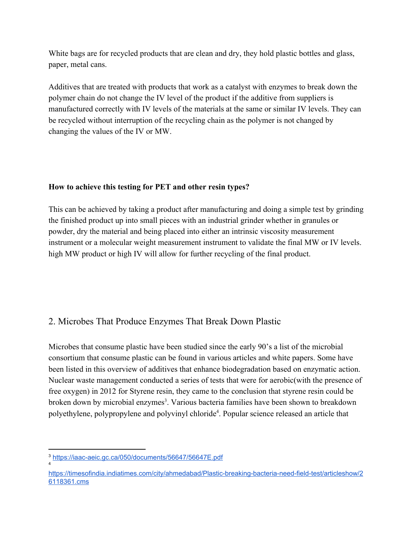White bags are for recycled products that are clean and dry, they hold plastic bottles and glass, paper, metal cans.

Additives that are treated with products that work as a catalyst with enzymes to break down the polymer chain do not change the IV level of the product if the additive from suppliers is manufactured correctly with IV levels of the materials at the same or similar IV levels. They can be recycled without interruption of the recycling chain as the polymer is not changed by changing the values of the IV or MW.

#### **How to achieve this testing for PET and other resin types?**

This can be achieved by taking a product after manufacturing and doing a simple test by grinding the finished product up into small pieces with an industrial grinder whether in granules or powder, dry the material and being placed into either an intrinsic viscosity measurement instrument or a molecular weight measurement instrument to validate the final MW or IV levels. high MW product or high IV will allow for further recycling of the final product.

## 2. Microbes That Produce Enzymes That Break Down Plastic

Microbes that consume plastic have been studied since the early 90's a list of the microbial consortium that consume plastic can be found in various articles and white papers. Some have been listed in this overview of additives that enhance biodegradation based on enzymatic action. Nuclear waste management conducted a series of tests that were for aerobic(with the presence of free oxygen) in 2012 for Styrene resin, they came to the conclusion that styrene resin could be broken down by microbial enzymes<sup>3</sup>. Various bacteria families have been shown to breakdown polyethylene, polypropylene and polyvinyl chloride<sup>4</sup>. Popular science released an article that

4

<sup>3</sup> <https://iaac-aeic.gc.ca/050/documents/56647/56647E.pdf>

[https://timesofindia.indiatimes.com/city/ahmedabad/Plastic-breaking-bacteria-need-field-test/articleshow/2](https://timesofindia.indiatimes.com/city/ahmedabad/Plastic-breaking-bacteria-need-field-test/articleshow/26118361.cms) [6118361.cms](https://timesofindia.indiatimes.com/city/ahmedabad/Plastic-breaking-bacteria-need-field-test/articleshow/26118361.cms)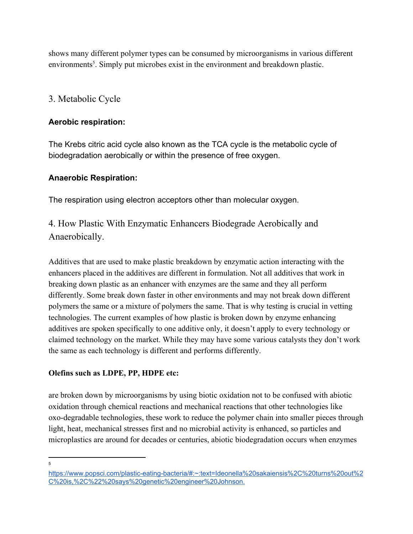shows many different polymer types can be consumed by microorganisms in various different environments<sup>5</sup>. Simply put microbes exist in the environment and breakdown plastic.

## 3. Metabolic Cycle

#### **Aerobic respiration:**

The Krebs citric acid cycle also known as the TCA cycle is the metabolic cycle of biodegradation aerobically or within the presence of free oxygen.

#### **Anaerobic Respiration:**

The respiration using electron acceptors other than molecular oxygen.

4. How Plastic With Enzymatic Enhancers Biodegrade Aerobically and Anaerobically.

Additives that are used to make plastic breakdown by enzymatic action interacting with the enhancers placed in the additives are different in formulation. Not all additives that work in breaking down plastic as an enhancer with enzymes are the same and they all perform differently. Some break down faster in other environments and may not break down different polymers the same or a mixture of polymers the same. That is why testing is crucial in vetting technologies. The current examples of how plastic is broken down by enzyme enhancing additives are spoken specifically to one additive only, it doesn't apply to every technology or claimed technology on the market. While they may have some various catalysts they don't work the same as each technology is different and performs differently.

#### **Olefins such as LDPE, PP, HDPE etc:**

are broken down by microorganisms by using biotic oxidation not to be confused with abiotic oxidation through chemical reactions and mechanical reactions that other technologies like oxo-degradable technologies, these work to reduce the polymer chain into smaller pieces through light, heat, mechanical stresses first and no microbial activity is enhanced, so particles and microplastics are around for decades or centuries, abiotic biodegradation occurs when enzymes

5

[https://www.popsci.com/plastic-eating-bacteria/#:~:text=Ideonella%20sakaiensis%2C%20turns%20out%2](https://www.popsci.com/plastic-eating-bacteria/#:~:text=Ideonella%20sakaiensis%2C%20turns%20out%2C%20is,%2C%22%20says%20genetic%20engineer%20Johnson.) [C%20is,%2C%22%20says%20genetic%20engineer%20Johnson.](https://www.popsci.com/plastic-eating-bacteria/#:~:text=Ideonella%20sakaiensis%2C%20turns%20out%2C%20is,%2C%22%20says%20genetic%20engineer%20Johnson.)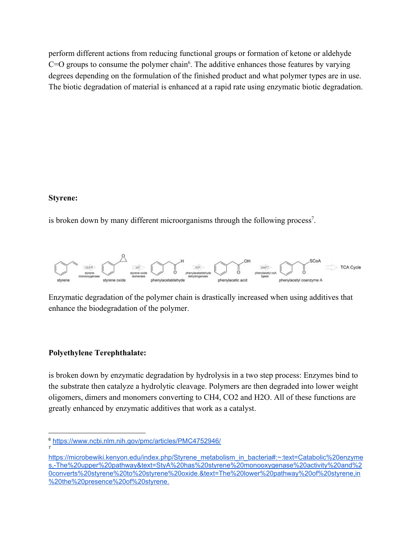perform different actions from reducing functional groups or formation of ketone or aldehyde  $C=O$  groups to consume the polymer chain<sup>6</sup>. The additive enhances those features by varying degrees depending on the formulation of the finished product and what polymer types are in use. The biotic degradation of material is enhanced at a rapid rate using enzymatic biotic degradation.

#### **Styrene:**

7

is broken down by many different microorganisms through the following process<sup>7</sup>.



Enzymatic degradation of the polymer chain is drastically increased when using additives that enhance the biodegradation of the polymer.

#### **Polyethylene Terephthalate:**

is broken down by enzymatic degradation by hydrolysis in a two step process: Enzymes bind to the substrate then catalyze a hydrolytic cleavage. Polymers are then degraded into lower weight oligomers, dimers and monomers converting to CH4, CO2 and H2O. All of these functions are greatly enhanced by enzymatic additives that work as a catalyst.

<sup>6</sup> <https://www.ncbi.nlm.nih.gov/pmc/articles/PMC4752946/>

[https://microbewiki.kenyon.edu/index.php/Styrene\\_metabolism\\_in\\_bacteria#:~:text=Catabolic%20enzyme](https://microbewiki.kenyon.edu/index.php/Styrene_metabolism_in_bacteria#:~:text=Catabolic%20enzymes,-The%20upper%20pathway&text=StyA%20has%20styrene%20monooxygenase%20activity%20and%20converts%20styrene%20to%20styrene%20oxide.&text=The%20lower%20pathway%20of%20styrene,in%20the%20presence%20of%20styrene.) [s,-The%20upper%20pathway&text=StyA%20has%20styrene%20monooxygenase%20activity%20and%2](https://microbewiki.kenyon.edu/index.php/Styrene_metabolism_in_bacteria#:~:text=Catabolic%20enzymes,-The%20upper%20pathway&text=StyA%20has%20styrene%20monooxygenase%20activity%20and%20converts%20styrene%20to%20styrene%20oxide.&text=The%20lower%20pathway%20of%20styrene,in%20the%20presence%20of%20styrene.) [0converts%20styrene%20to%20styrene%20oxide.&text=The%20lower%20pathway%20of%20styrene,in](https://microbewiki.kenyon.edu/index.php/Styrene_metabolism_in_bacteria#:~:text=Catabolic%20enzymes,-The%20upper%20pathway&text=StyA%20has%20styrene%20monooxygenase%20activity%20and%20converts%20styrene%20to%20styrene%20oxide.&text=The%20lower%20pathway%20of%20styrene,in%20the%20presence%20of%20styrene.) [%20the%20presence%20of%20styrene.](https://microbewiki.kenyon.edu/index.php/Styrene_metabolism_in_bacteria#:~:text=Catabolic%20enzymes,-The%20upper%20pathway&text=StyA%20has%20styrene%20monooxygenase%20activity%20and%20converts%20styrene%20to%20styrene%20oxide.&text=The%20lower%20pathway%20of%20styrene,in%20the%20presence%20of%20styrene.)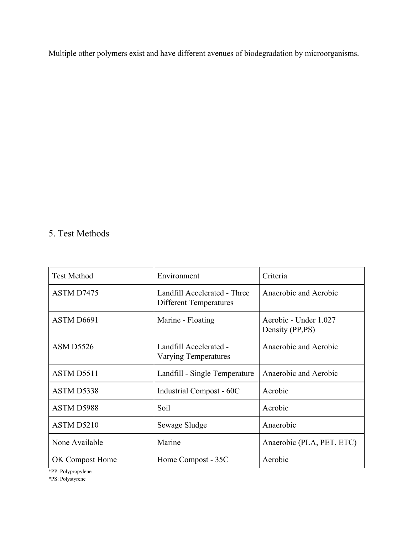Multiple other polymers exist and have different avenues of biodegradation by microorganisms.

## 5. Test Methods

| <b>Test Method</b> | Environment                                                   | Criteria                                 |
|--------------------|---------------------------------------------------------------|------------------------------------------|
| <b>ASTM D7475</b>  | Landfill Accelerated - Three<br><b>Different Temperatures</b> | Anaerobic and Aerobic                    |
| ASTM D6691         | Marine - Floating                                             | Aerobic - Under 1.027<br>Density (PP,PS) |
| <b>ASM D5526</b>   | Landfill Accelerated -<br><b>Varying Temperatures</b>         | Anaerobic and Aerobic                    |
| <b>ASTM D5511</b>  | Landfill - Single Temperature                                 | Anaerobic and Aerobic                    |
| ASTM D5338         | Industrial Compost - 60C                                      | Aerobic                                  |
| ASTM D5988         | Soil                                                          | Aerobic                                  |
| ASTM D5210         | Sewage Sludge                                                 | Anaerobic                                |
| None Available     | Marine                                                        | Anaerobic (PLA, PET, ETC)                |
| OK Compost Home    | Home Compost - 35C                                            | Aerobic                                  |

\*PP: Polypropylene

\*PS: Polystyrene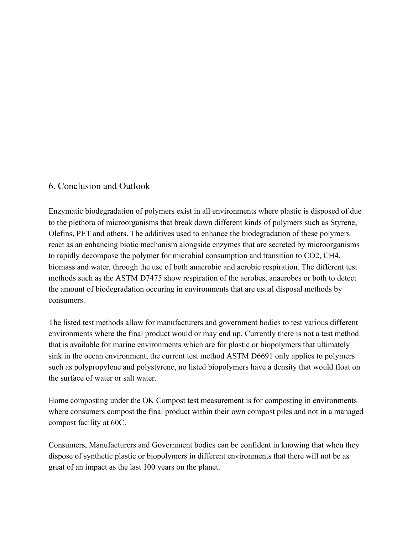### 6. Conclusion and Outlook

Enzymatic biodegradation of polymers exist in all environments where plastic is disposed of due to the plethora of microorganisms that break down different kinds of polymers such as Styrene, Olefins, PET and others. The additives used to enhance the biodegradation of these polymers react as an enhancing biotic mechanism alongside enzymes that are secreted by microorganisms to rapidly decompose the polymer for microbial consumption and transition to CO2, CH4, biomass and water, through the use of both anaerobic and aerobic respiration. The different test methods such as the ASTM D7475 show respiration of the aerobes, anaerobes or both to detect the amount of biodegradation occuring in environments that are usual disposal methods by consumers.

The listed test methods allow for manufacturers and government bodies to test various different environments where the final product would or may end up. Currently there is not a test method that is available for marine environments which are for plastic or biopolymers that ultimately sink in the ocean environment, the current test method ASTM D6691 only applies to polymers such as polypropylene and polystyrene, no listed biopolymers have a density that would float on the surface of water or salt water.

Home composting under the OK Compost test measurement is for composting in environments where consumers compost the final product within their own compost piles and not in a managed compost facility at 60C.

Consumers, Manufacturers and Government bodies can be confident in knowing that when they dispose of synthetic plastic or biopolymers in different environments that there will not be as great of an impact as the last 100 years on the planet.